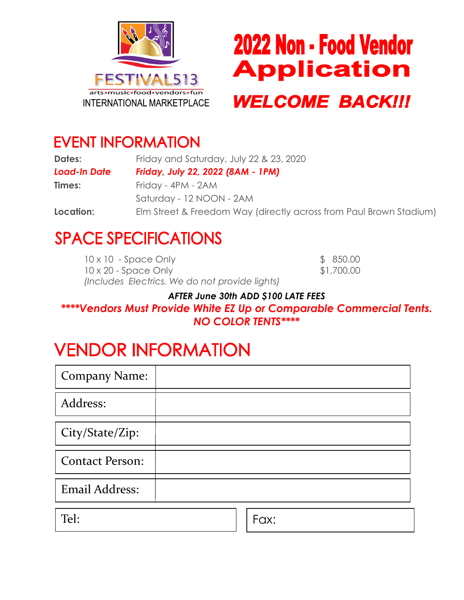



## **EVENT INFORMATION**

| <b>Dates:</b>       | Friday and Saturday, July 22 & 23, 2020<br>Friday, July 22, 2022 (8AM - 1PM) |  |
|---------------------|------------------------------------------------------------------------------|--|
| <b>Load-In Date</b> |                                                                              |  |
| Times:              | Friday - 4PM - 2AM                                                           |  |
|                     | Saturday - 12 NOON - 2AM                                                     |  |
| Location:           | Elm Street & Freedom Way (directly across from Paul Brown Stadium)           |  |

# **SPACE SPECIFICATIONS**

| $10 \times 10$ - Space Only                    | \$850.00   |
|------------------------------------------------|------------|
| $10 \times 20$ - Space Only                    | \$1,700.00 |
| (Includes Electrics. We do not provide lights) |            |

#### *AFTER June 30th ADD \$100 LATE FEES*

#### *\*\*\*\*Vendors Must Provide White EZ Up or Comparable Commercial Tents. NO COLOR TENTS\*\*\*\**

# **VENDOR INFORMATION**

| <b>Company Name:</b>   |  |
|------------------------|--|
| Address:               |  |
| City/State/Zip:        |  |
| <b>Contact Person:</b> |  |
| <b>Email Address:</b>  |  |
|                        |  |

Tel: Fax: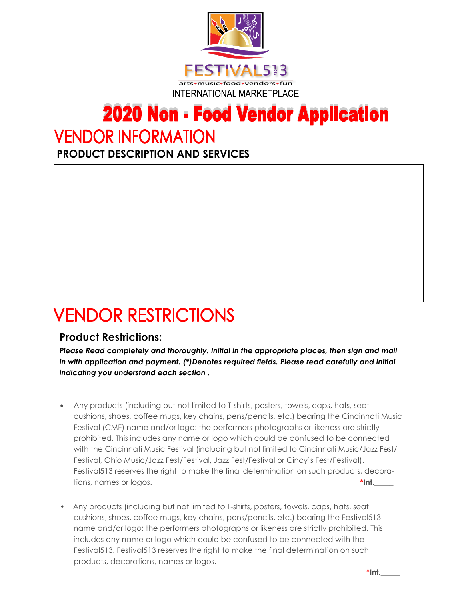

# **2020 Non - Food Vendor Application**

## **VENDOR INFORMATION**

**PRODUCT DESCRIPTION AND SERVICES**

# **VENDOR RESTRICTIONS**

#### **Product Restrictions:**

*Please Read completely and thoroughly. Initial in the appropriate places, then sign and mail in with application and payment. (\*)Denotes required fields. Please read carefully and initial indicating you understand each section .*

- Any products (including but not limited to T-shirts, posters, towels, caps, hats, seat cushions, shoes, coffee mugs, key chains, pens/pencils, etc.) bearing the Cincinnati Music Festival (CMF) name and/or logo: the performers photographs or likeness are strictly prohibited. This includes any name or logo which could be confused to be connected with the Cincinnati Music Festival (including but not limited to Cincinnati Music/Jazz Fest/ Festival, Ohio Music/Jazz Fest/Festival, Jazz Fest/Festival or Cincy's Fest/Festival). Festival513 reserves the right to make the final determination on such products, decorations, names or logos. **\*Int.**
- Any products (including but not limited to T-shirts, posters, towels, caps, hats, seat cushions, shoes, coffee mugs, key chains, pens/pencils, etc.) bearing the Festival513 name and/or logo: the performers photographs or likeness are strictly prohibited. This includes any name or logo which could be confused to be connected with the Festival513. Festival513 reserves the right to make the final determination on such products, decorations, names or logos.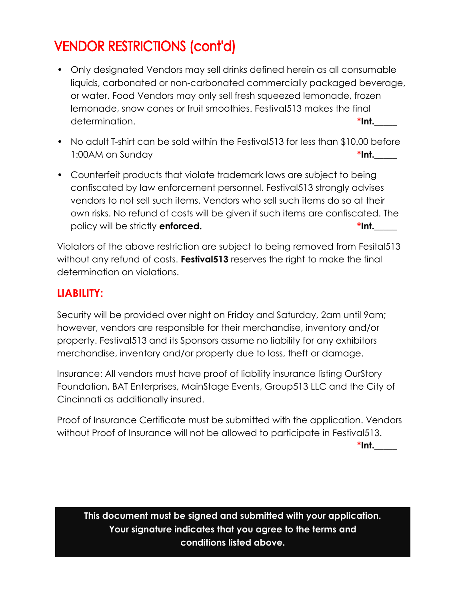### **VENDOR RESTRICTIONS (cont'd)**

- Only designated Vendors may sell drinks defined herein as all consumable liquids, carbonated or non-carbonated commercially packaged beverage, or water. Food Vendors may only sell fresh squeezed lemonade, frozen lemonade, snow cones or fruit smoothies. Festival513 makes the final determination. **\*Int.\_\_\_\_\_**
- No adult T-shirt can be sold within the Festival513 for less than \$10.00 before 1:00AM on Sunday **\*Int.\_\_\_\_\_**
- Counterfeit products that violate trademark laws are subject to being confiscated by law enforcement personnel. Festival513 strongly advises vendors to not sell such items. Vendors who sell such items do so at their own risks. No refund of costs will be given if such items are confiscated. The policy will be strictly **enforced.**  $\bullet$  **\*Int.** \_\_\_\_

Violators of the above restriction are subject to being removed from Fesital513 without any refund of costs. **Festival513** reserves the right to make the final determination on violations.

### **LIABILITY:**

Security will be provided over night on Friday and Saturday, 2am until 9am; however, vendors are responsible for their merchandise, inventory and/or property. Festival513 and its Sponsors assume no liability for any exhibitors merchandise, inventory and/or property due to loss, theft or damage.

Insurance: All vendors must have proof of liability insurance listing OurStory Foundation, BAT Enterprises, MainStage Events, Group513 LLC and the City of Cincinnati as additionally insured.

Proof of Insurance Certificate must be submitted with the application. Vendors without Proof of Insurance will not be allowed to participate in Festival513.

**\*Int.\_\_\_\_\_** 

**This document must be signed and submitted with your application. Your signature indicates that you agree to the terms and conditions listed above.**